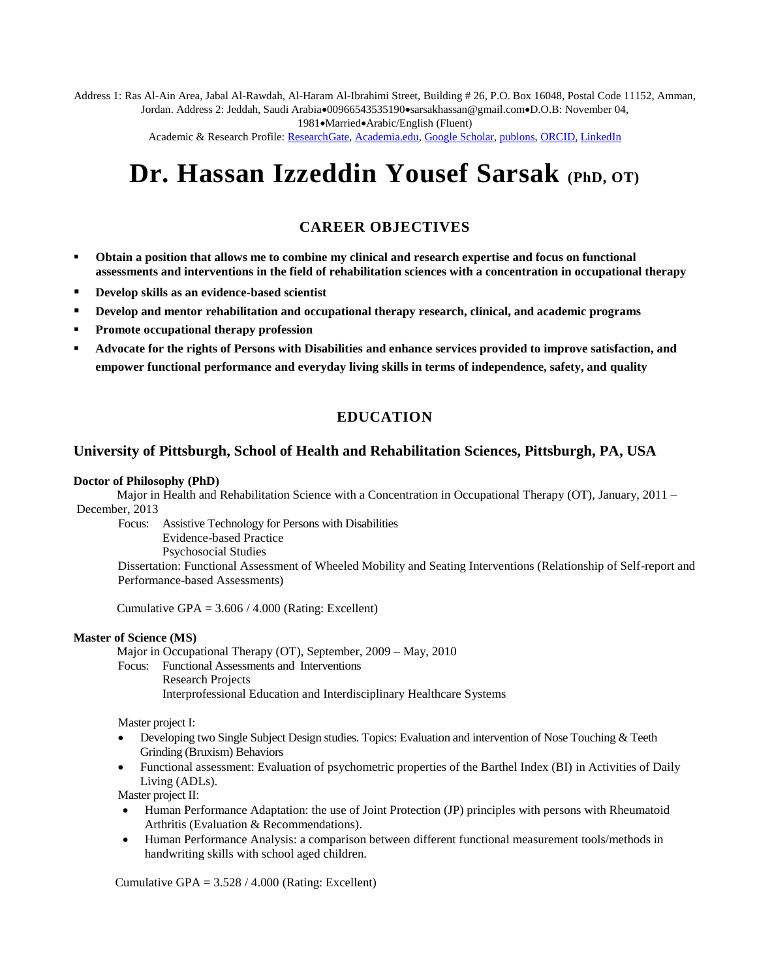Address 1: Ras Al-Ain Area, Jabal Al-Rawdah, Al-Haram Al-Ibrahimi Street, Building # 26, P.O. Box 16048, Postal Code 11152, Amman, Jordan. Address 2: Jeddah, Saudi Arabia $\bullet$ 00966543535190 $\bullet$ sarsakhassan@gmail.com $\bullet$ D.O.B: November 04,

1981•Married•Arabic/English (Fluent)

Academic & Research Profile[: ResearchGate,](https://www.researchgate.net/profile/Hassan_Sarsak?ev=hdr_xprf) [Academia.edu,](https://independent.academia.edu/hassansarsak) [Google Scholar,](https://scholar.google.com/citations?user=oXn6yDAAAAAJ&hl=en) [publons,](https://publons.com/researcher/1440989/hassan-izzeddin-sarsak/) [ORCID,](https://orcid.org/my-orcid) [LinkedIn](https://www.linkedin.com/in/dr-hassan-i-sarsak-82356a78/)

# **Dr. Hassan Izzeddin Yousef Sarsak (PhD, OT)**

# **CAREER OBJECTIVES**

- **Obtain a position that allows me to combine my clinical and research expertise and focus on functional assessments and interventions in the field of rehabilitation sciences with a concentration in occupational therapy**
- **Develop skills as an evidence-based scientist**
- **Pevelop and mentor rehabilitation and occupational therapy research, clinical, and academic programs**
- **Promote occupational therapy profession**
- **Advocate for the rights of Persons with Disabilities and enhance services provided to improve satisfaction, and empower functional performance and everyday living skills in terms of independence, safety, and quality**

# **EDUCATION**

#### **University of Pittsburgh, School of Health and Rehabilitation Sciences, Pittsburgh, PA, USA**

#### **Doctor of Philosophy (PhD)**

Major in Health and Rehabilitation Science with a Concentration in Occupational Therapy (OT), January, 2011 – December, 2013

Focus: Assistive Technology for Persons with Disabilities

Evidence-based Practice

Psychosocial Studies

Dissertation: Functional Assessment of Wheeled Mobility and Seating Interventions (Relationship of Self-report and Performance-based Assessments)

Cumulative GPA =  $3.606 / 4.000$  (Rating: Excellent)

#### **Master of Science (MS)**

Major in Occupational Therapy (OT), September, 2009 – May, 2010

Focus: Functional Assessments and Interventions Research Projects Interprofessional Education and Interdisciplinary Healthcare Systems

Master project I:

- Developing two Single Subject Design studies. Topics: Evaluation and intervention of Nose Touching & Teeth Grinding (Bruxism) Behaviors
- Functional assessment: Evaluation of psychometric properties of the Barthel Index (BI) in Activities of Daily Living (ADLs).

Master project II:

- Human Performance Adaptation: the use of Joint Protection (JP) principles with persons with Rheumatoid Arthritis (Evaluation & Recommendations).
- Human Performance Analysis: a comparison between different functional measurement tools/methods in handwriting skills with school aged children.

Cumulative GPA =  $3.528 / 4.000$  (Rating: Excellent)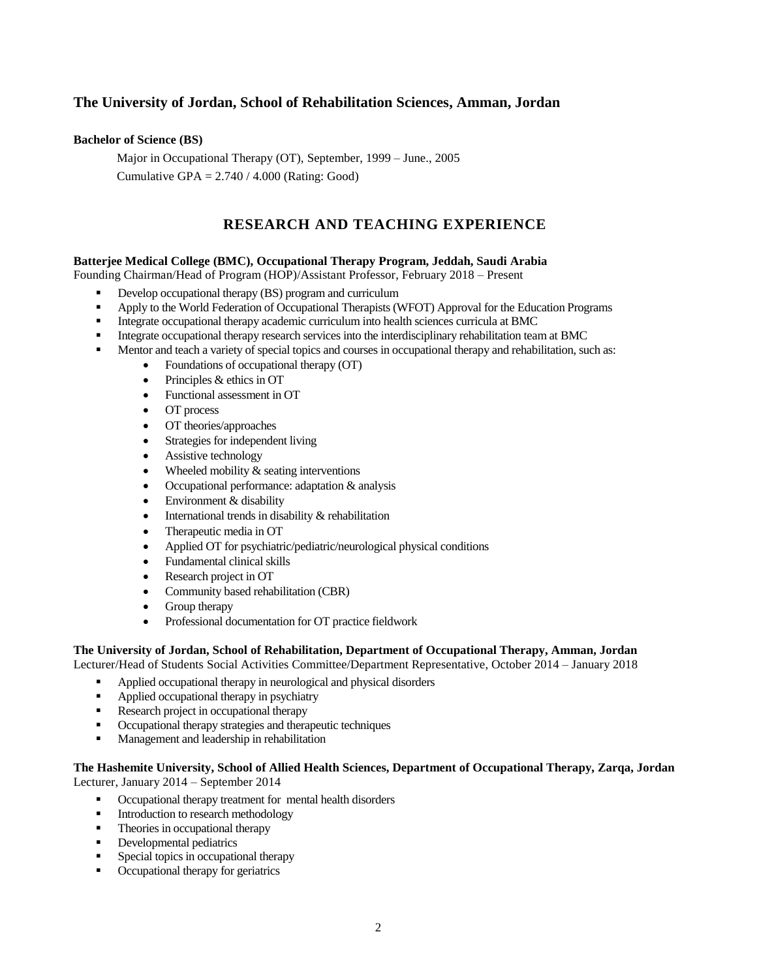# **The University of Jordan, School of Rehabilitation Sciences, Amman, Jordan**

#### **Bachelor of Science (BS)**

Major in Occupational Therapy (OT), September, 1999 – June., 2005 Cumulative GPA =  $2.740 / 4.000$  (Rating: Good)

# **RESEARCH AND TEACHING EXPERIENCE**

#### **Batterjee Medical College (BMC), Occupational Therapy Program, Jeddah, Saudi Arabia**

Founding Chairman/Head of Program (HOP)/Assistant Professor, February 2018 – Present

- Develop occupational therapy (BS) program and curriculum
- Apply to the World Federation of Occupational Therapists (WFOT) Approval for the Education Programs
- Integrate occupational therapy academic curriculum into health sciences curricula at BMC
- Integrate occupational therapy research services into the interdisciplinary rehabilitation team at BMC
- Mentor and teach a variety of special topics and courses in occupational therapy and rehabilitation, such as:
	- Foundations of occupational therapy (OT)
	- Principles & ethics in OT
	- Functional assessment in OT
	- OT process
	- OT theories/approaches
	- Strategies for independent living
	- Assistive technology
	- Wheeled mobility & seating interventions
	- Occupational performance: adaptation & analysis
	- Environment & disability
	- International trends in disability & rehabilitation
	- Therapeutic media in OT
	- Applied OT for psychiatric/pediatric/neurological physical conditions
	- Fundamental clinical skills
	- Research project in OT
	- Community based rehabilitation (CBR)
	- Group therapy
	- Professional documentation for OT practice fieldwork

# **The University of Jordan, School of Rehabilitation, Department of Occupational Therapy, Amman, Jordan**

Lecturer/Head of Students Social Activities Committee/Department Representative, October 2014 – January 2018

- Applied occupational therapy in neurological and physical disorders
- Applied occupational therapy in psychiatry
- Research project in occupational therapy
- Occupational therapy strategies and therapeutic techniques
- **Management and leadership in rehabilitation**

#### **The Hashemite University, School of Allied Health Sciences, Department of Occupational Therapy, Zarqa, Jordan** Lecturer, January 2014 – September 2014

- Occupational therapy treatment for mental health disorders
- Introduction to research methodology
- Theories in occupational therapy
- Developmental pediatrics
- **Special topics in occupational therapy**
- Occupational therapy for geriatrics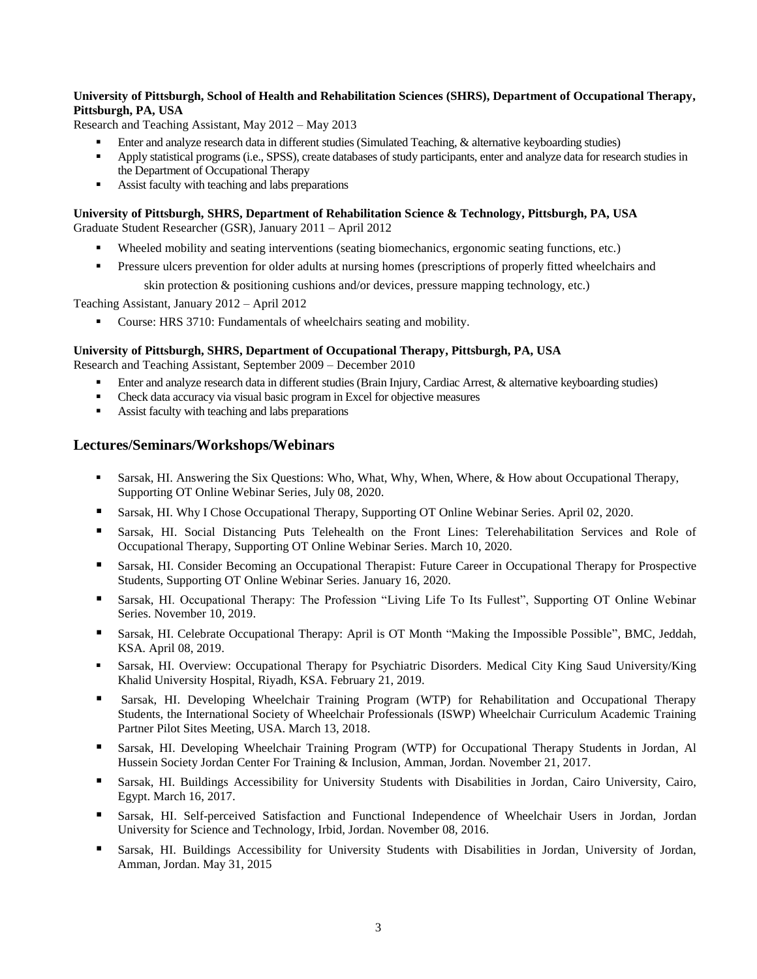#### **University of Pittsburgh, School of Health and Rehabilitation Sciences (SHRS), Department of Occupational Therapy, Pittsburgh, PA, USA**

Research and Teaching Assistant, May 2012 – May 2013

- Enter and analyze research data in different studies (Simulated Teaching, & alternative keyboarding studies)
- Apply statistical programs (i.e., SPSS), create databases of study participants, enter and analyze data for research studies in the Department of Occupational Therapy
- Assist faculty with teaching and labs preparations

#### **University of Pittsburgh, SHRS, Department of Rehabilitation Science & Technology, Pittsburgh, PA, USA** Graduate Student Researcher (GSR), January 2011 – April 2012

- Wheeled mobility and seating interventions (seating biomechanics, ergonomic seating functions, etc.)
- **Pressure ulcers prevention for older adults at nursing homes (prescriptions of properly fitted wheelchairs and**

skin protection & positioning cushions and/or devices, pressure mapping technology, etc.)

Teaching Assistant, January 2012 – April 2012

Course: HRS 3710: Fundamentals of wheelchairs seating and mobility.

#### **University of Pittsburgh, SHRS, Department of Occupational Therapy, Pittsburgh, PA, USA**

Research and Teaching Assistant, September 2009 – December 2010

- **Enter and analyze research data in different studies (Brain Injury, Cardiac Arrest, & alternative keyboarding studies)**
- Check data accuracy via visual basic program in Excel for objective measures
- Assist faculty with teaching and labs preparations

#### **Lectures/Seminars/Workshops/Webinars**

- Sarsak, HI. Answering the Six Questions: Who, What, Why, When, Where, & How about Occupational Therapy, Supporting OT Online Webinar Series, July 08, 2020.
- **Sarsak, HI. Why I Chose Occupational Therapy, Supporting OT Online Webinar Series. April 02, 2020.**
- Sarsak, HI. Social Distancing Puts Telehealth on the Front Lines: Telerehabilitation Services and Role of Occupational Therapy, Supporting OT Online Webinar Series. March 10, 2020.
- Sarsak, HI. Consider Becoming an Occupational Therapist: Future Career in Occupational Therapy for Prospective Students, Supporting OT Online Webinar Series. January 16, 2020.
- Sarsak, HI. Occupational Therapy: The Profession "Living Life To Its Fullest", Supporting OT Online Webinar Series. November 10, 2019.
- Sarsak, HI. Celebrate Occupational Therapy: April is OT Month "Making the Impossible Possible", BMC, Jeddah, KSA. April 08, 2019.
- Sarsak, HI. Overview: Occupational Therapy for Psychiatric Disorders. [Medical City King Saud University/King](http://medicalcity.ksu.edu.sa/en/page/king-khalid-university-hospital)  [Khalid University Hospital, Riyadh, KSA. February 21, 2019.](http://medicalcity.ksu.edu.sa/en/page/king-khalid-university-hospital)
- Sarsak, HI. Developing Wheelchair Training Program (WTP) for Rehabilitation and Occupational Therapy Students, the International Society of Wheelchair Professionals (ISWP) Wheelchair Curriculum Academic Training Partner Pilot Sites Meeting, USA. March 13, 2018.
- Sarsak, HI. Developing Wheelchair Training Program (WTP) for Occupational Therapy Students in Jordan, Al Hussein Society Jordan Center For Training & Inclusion, Amman, Jordan. November 21, 2017.
- Sarsak, HI. Buildings Accessibility for University Students with Disabilities in Jordan, Cairo University, Cairo, Egypt. March 16, 2017.
- Sarsak, HI. Self-perceived Satisfaction and Functional Independence of Wheelchair Users in Jordan, Jordan University for Science and Technology, Irbid, Jordan. November 08, 2016.
- Sarsak, HI. Buildings Accessibility for University Students with Disabilities in Jordan, University of Jordan, Amman, Jordan. May 31, 2015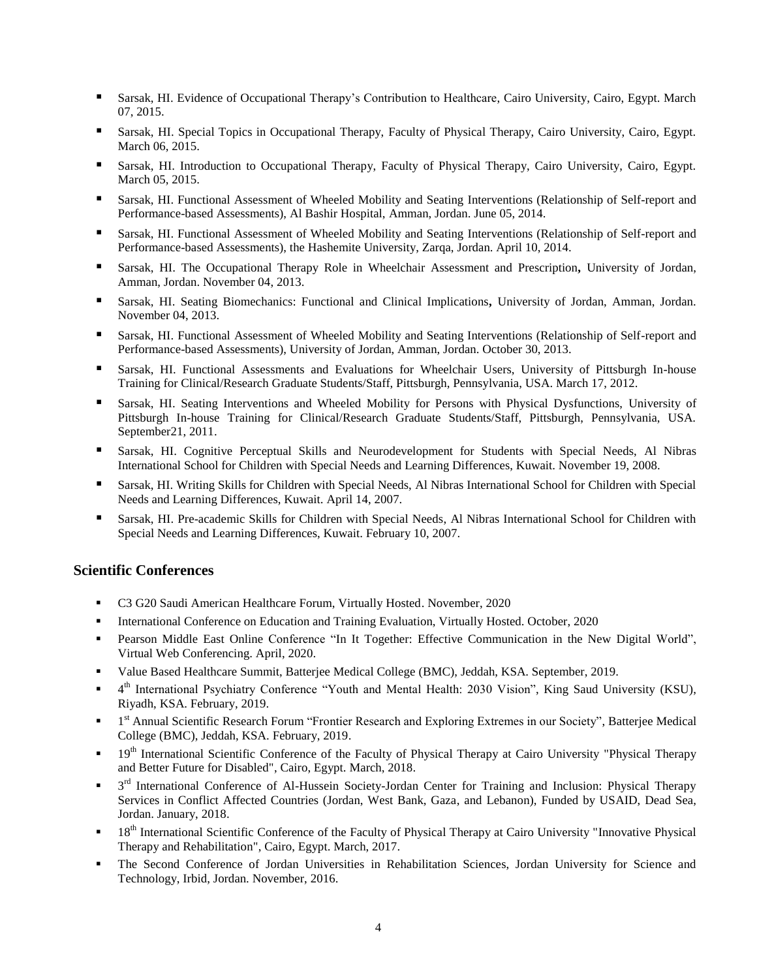- Sarsak, HI. Evidence of Occupational Therapy's Contribution to Healthcare, Cairo University, Cairo, Egypt. March 07, 2015.
- Sarsak, HI. Special Topics in Occupational Therapy, Faculty of Physical Therapy, Cairo University, Cairo, Egypt. March 06, 2015.
- Sarsak, HI. Introduction to Occupational Therapy, Faculty of Physical Therapy, Cairo University, Cairo, Egypt. March 05, 2015.
- Sarsak, HI. Functional Assessment of Wheeled Mobility and Seating Interventions (Relationship of Self-report and Performance-based Assessments), Al Bashir Hospital, Amman, Jordan. June 05, 2014.
- Sarsak, HI. Functional Assessment of Wheeled Mobility and Seating Interventions (Relationship of Self-report and Performance-based Assessments), the Hashemite University, Zarqa, Jordan. April 10, 2014.
- Sarsak, HI. The Occupational Therapy Role in Wheelchair Assessment and Prescription**,** University of Jordan, Amman, Jordan. November 04, 2013.
- Sarsak, HI. Seating Biomechanics: Functional and Clinical Implications**,** University of Jordan, Amman, Jordan. November 04, 2013.
- Sarsak, HI. Functional Assessment of Wheeled Mobility and Seating Interventions (Relationship of Self-report and Performance-based Assessments), University of Jordan, Amman, Jordan. October 30, 2013.
- Sarsak, HI. Functional Assessments and Evaluations for Wheelchair Users, University of Pittsburgh In-house Training for Clinical/Research Graduate Students/Staff, Pittsburgh, Pennsylvania, USA. March 17, 2012.
- Sarsak, HI. Seating Interventions and Wheeled Mobility for Persons with Physical Dysfunctions, University of Pittsburgh In-house Training for Clinical/Research Graduate Students/Staff, Pittsburgh, Pennsylvania, USA. September21, 2011.
- Sarsak, HI. Cognitive Perceptual Skills and Neurodevelopment for Students with Special Needs, Al Nibras International School for Children with Special Needs and Learning Differences, Kuwait. November 19, 2008.
- Sarsak, HI. Writing Skills for Children with Special Needs, Al Nibras International School for Children with Special Needs and Learning Differences, Kuwait. April 14, 2007.
- Sarsak, HI. Pre-academic Skills for Children with Special Needs, Al Nibras International School for Children with Special Needs and Learning Differences, Kuwait. February 10, 2007.

#### **Scientific Conferences**

- C3 G20 Saudi American Healthcare Forum, Virtually Hosted. November, 2020
- **International Conference on Education and Training Evaluation, Virtually Hosted. October, 2020**
- Pearson Middle East Online Conference "In It Together: Effective Communication in the New Digital World", Virtual Web Conferencing. April, 2020.
- Value Based Healthcare Summit, Batterjee Medical College (BMC), Jeddah, KSA. September, 2019.
- <sup>4th</sup> International Psychiatry Conference "Youth and Mental Health: 2030 Vision", King Saud University (KSU), Riyadh, KSA. February, 2019.
- <sup>1st</sup> Annual Scientific Research Forum "Frontier Research and Exploring Extremes in our Society", Batterjee Medical College (BMC), Jeddah, KSA. February, 2019.
- $19<sup>th</sup>$  International Scientific Conference of the Faculty of Physical Therapy at Cairo University "Physical Therapy" and Better Future for Disabled", Cairo, Egypt. March, 2018.
- <sup>3rd</sup> International Conference of Al-Hussein Society-Jordan Center for Training and Inclusion: Physical Therapy Services in Conflict Affected Countries (Jordan, West Bank, Gaza, and Lebanon), Funded by USAID, Dead Sea, Jordan. January, 2018.
- $18<sup>th</sup>$  International Scientific Conference of the Faculty of Physical Therapy at Cairo University "Innovative Physical Therapy and Rehabilitation", Cairo, Egypt. March, 2017.
- The Second Conference of Jordan Universities in Rehabilitation Sciences, Jordan University for Science and Technology, Irbid, Jordan. November, 2016.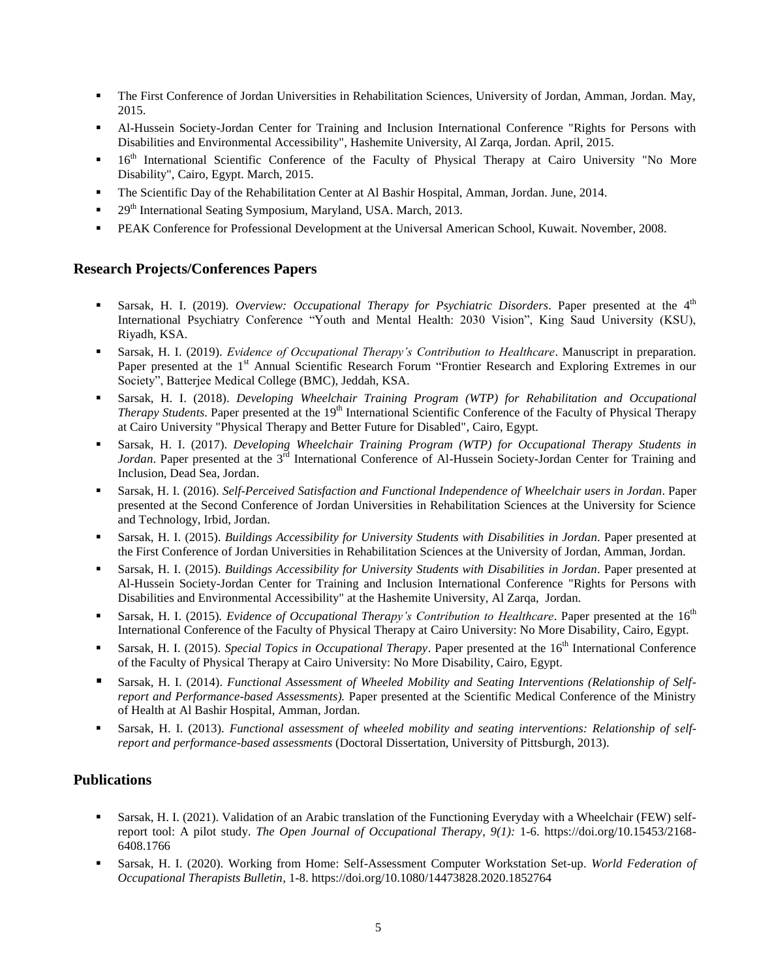- The First Conference of Jordan Universities in Rehabilitation Sciences, University of Jordan, Amman, Jordan. May, 2015.
- Al-Hussein Society-Jordan Center for Training and Inclusion International Conference "Rights for Persons with Disabilities and Environmental Accessibility", Hashemite University, Al Zarqa, Jordan. April, 2015.
- <sup>16th</sup> International Scientific Conference of the Faculty of Physical Therapy at Cairo University "No More Disability", Cairo, Egypt. March, 2015.
- The Scientific Day of the Rehabilitation Center at Al Bashir Hospital, Amman, Jordan. June, 2014.
- $\blacksquare$  29<sup>th</sup> International Seating Symposium, Maryland, USA. March, 2013.
- PEAK Conference for Professional Development at the Universal American School, Kuwait. November, 2008.

# **Research Projects/Conferences Papers**

- **Sarsak, H. I.** (2019). *Overview: Occupational Therapy for Psychiatric Disorders*. Paper presented at the 4<sup>th</sup> International Psychiatry Conference "Youth and Mental Health: 2030 Vision", King Saud University (KSU), Riyadh, KSA.
- Sarsak, H. I. (2019). *Evidence of Occupational Therapy's Contribution to Healthcare*. Manuscript in preparation. Paper presented at the 1<sup>st</sup> Annual Scientific Research Forum "Frontier Research and Exploring Extremes in our Society", Batterjee Medical College (BMC), Jeddah, KSA.
- Sarsak, H. I. (2018). *Developing Wheelchair Training Program (WTP) for Rehabilitation and Occupational Therapy Students*. Paper presented at the 19<sup>th</sup> International Scientific Conference of the Faculty of Physical Therapy at Cairo University "Physical Therapy and Better Future for Disabled", Cairo, Egypt.
- Sarsak, H. I. (2017). *Developing Wheelchair Training Program (WTP) for Occupational Therapy Students in*  Jordan. Paper presented at the 3<sup>rd</sup> International Conference of Al-Hussein Society-Jordan Center for Training and Inclusion, Dead Sea, Jordan.
- Sarsak, H. I. (2016). *Self-Perceived Satisfaction and Functional Independence of Wheelchair users in Jordan*. Paper presented at the Second Conference of Jordan Universities in Rehabilitation Sciences at the University for Science and Technology, Irbid, Jordan.
- Sarsak, H. I. (2015). *Buildings Accessibility for University Students with Disabilities in Jordan*. Paper presented at the First Conference of Jordan Universities in Rehabilitation Sciences at the University of Jordan, Amman, Jordan.
- Sarsak, H. I. (2015). *Buildings Accessibility for University Students with Disabilities in Jordan*. Paper presented at Al-Hussein Society-Jordan Center for Training and Inclusion International Conference "Rights for Persons with Disabilities and Environmental Accessibility" at the Hashemite University, Al Zarqa, Jordan.
- **Sarsak, H. I.** (2015). *Evidence of Occupational Therapy's Contribution to Healthcare*. Paper presented at the 16<sup>th</sup> International Conference of the Faculty of Physical Therapy at Cairo University: No More Disability, Cairo, Egypt.
- **Sarsak, H. I. (2015).** *Special Topics in Occupational Therapy*. Paper presented at the 16<sup>th</sup> International Conference of the Faculty of Physical Therapy at Cairo University: No More Disability, Cairo, Egypt.
- Sarsak, H. I. (2014). *Functional Assessment of Wheeled Mobility and Seating Interventions (Relationship of Selfreport and Performance-based Assessments).* Paper presented at the Scientific Medical Conference of the Ministry of Health at Al Bashir Hospital, Amman, Jordan.
- Sarsak, H. I. (2013). *Functional assessment of wheeled mobility and seating interventions: Relationship of selfreport and performance-based assessments* (Doctoral Dissertation, University of Pittsburgh, 2013).

# **Publications**

- Sarsak, H. I. (2021). Validation of an Arabic translation of the Functioning Everyday with a Wheelchair (FEW) selfreport tool: A pilot study. *The Open Journal of Occupational Therapy, 9(1):* 1-6. https://doi.org/10.15453/2168- 6408.1766
- Sarsak, H. I. (2020). Working from Home: Self-Assessment Computer Workstation Set-up. *[World Federation of](https://www.tandfonline.com/yotb20)  [Occupational Therapists Bulletin,](https://www.tandfonline.com/yotb20)* 1-8. https://doi.org/10.1080/14473828.2020.1852764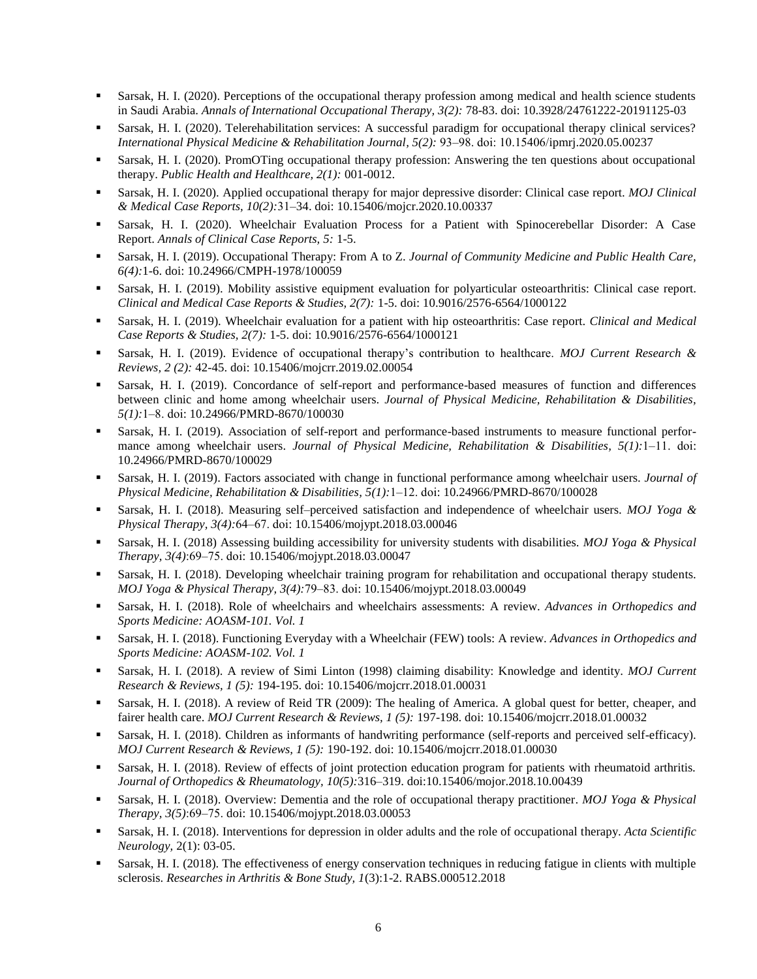- Sarsak, H. I. (2020). Perceptions of the occupational therapy profession among medical and health science students in Saudi Arabia. *Annals of International Occupational Therapy, 3(2):* 78-83. doi: 10.3928/24761222-20191125-03
- Sarsak, H. I. (2020). Telerehabilitation services: A successful paradigm for occupational therapy clinical services? *International Physical Medicine & Rehabilitation Journal, 5(2):* 93‒98. doi: 10.15406/ipmrj.2020.05.00237
- Sarsak, H. I. (2020). PromOTing occupational therapy profession: Answering the ten questions about occupational therapy. *Public Health and Healthcare, 2(1):* 001-0012.
- Sarsak, H. I. (2020). Applied occupational therapy for major depressive disorder: Clinical case report. *MOJ Clinical & Medical Case Reports, 10(2):*31‒34. doi: 10.15406/mojcr.2020.10.00337
- Sarsak, H. I. (2020). Wheelchair Evaluation Process for a Patient with Spinocerebellar Disorder: A Case Report. *Annals of Clinical Case Reports, 5:* 1-5.
- Sarsak, H. I. (2019). Occupational Therapy: From A to Z. *Journal of Community Medicine and Public Health Care, 6(4):*1-6. doi: 10.24966/CMPH-1978/100059
- Sarsak, H. I. (2019). Mobility assistive equipment evaluation for polyarticular osteoarthritis: Clinical case report. *Clinical and Medical Case Reports & Studies, 2(7):* 1-5. doi: 10.9016/2576-6564/1000122
- Sarsak, H. I. (2019). Wheelchair evaluation for a patient with hip osteoarthritis: Case report. *Clinical and Medical Case Reports & Studies, 2(7):* 1-5. doi: 10.9016/2576-6564/1000121
- Sarsak, H. I. (2019). Evidence of occupational therapy's contribution to healthcare. *MOJ Current Research & Reviews, 2 (2):* 42-45. doi: 10.15406/mojcrr.2019.02.00054
- Sarsak, H. I. (2019). Concordance of self-report and performance-based measures of function and differences between clinic and home among wheelchair users. *Journal of Physical Medicine, Rehabilitation & Disabilities, 5(1):*1‒8. doi: 10.24966/PMRD-8670/100030
- Sarsak, H. I. (2019). Association of self-report and performance-based instruments to measure functional performance among wheelchair users. *Journal of Physical Medicine*, Rehabilitation & Disabilities, 5(1):1-11. doi: 10.24966/PMRD-8670/100029
- Sarsak, H. I. (2019). Factors associated with change in functional performance among wheelchair users. *Journal of Physical Medicine, Rehabilitation & Disabilities, 5(1):*1‒12. doi: 10.24966/PMRD-8670/100028
- Sarsak, H. I. (2018). Measuring self–perceived satisfaction and independence of wheelchair users. *MOJ Yoga & Physical Therapy, 3(4):*64‒67. doi: 10.15406/mojypt.2018.03.00046
- Sarsak, H. I. (2018) Assessing building accessibility for university students with disabilities. *MOJ Yoga & Physical Therapy, 3(4)*:69‒75. doi: 10.15406/mojypt.2018.03.00047
- Sarsak, H. I. (2018). Developing wheelchair training program for rehabilitation and occupational therapy students. *MOJ Yoga & Physical Therapy, 3(4):*79‒83. doi: 10.15406/mojypt.2018.03.00049
- Sarsak, H. I. (2018). Role of wheelchairs and wheelchairs assessments: A review. *Advances in Orthopedics and Sports Medicine: AOASM-101. Vol. 1*
- Sarsak, H. I. (2018). Functioning Everyday with a Wheelchair (FEW) tools: A review. *Advances in Orthopedics and Sports Medicine: AOASM-102. Vol. 1*
- Sarsak, H. I. (2018). A review of Simi Linton (1998) claiming disability: Knowledge and identity. *MOJ Current Research & Reviews, 1 (5):* 194-195. doi: 10.15406/mojcrr.2018.01.00031
- Sarsak, H. I. (2018). A review of Reid TR (2009): The healing of America. A global quest for better, cheaper, and fairer health care. *MOJ Current Research & Reviews, 1 (5):* 197-198. doi: 10.15406/mojcrr.2018.01.00032
- Sarsak, H. I. (2018). Children as informants of handwriting performance (self-reports and perceived self-efficacy). *MOJ Current Research & Reviews, 1 (5):* 190-192. doi: 10.15406/mojcrr.2018.01.00030
- Sarsak, H. I. (2018). Review of effects of joint protection education program for patients with rheumatoid arthritis. *Journal of Orthopedics & Rheumatology, 10(5):*316‒319. doi:10.15406/mojor.2018.10.00439
- Sarsak, H. I. (2018). Overview: Dementia and the role of occupational therapy practitioner. *MOJ Yoga & Physical Therapy, 3(5)*:69‒75. doi: 10.15406/mojypt.2018.03.00053
- Sarsak, H. I. (2018). Interventions for depression in older adults and the role of occupational therapy. *Acta Scientific Neurology,* 2(1): 03-05.
- Sarsak, H. I. (2018). The effectiveness of energy conservation techniques in reducing fatigue in clients with multiple sclerosis. *Researches in Arthritis & Bone Study, 1*(3):1-2. RABS.000512.2018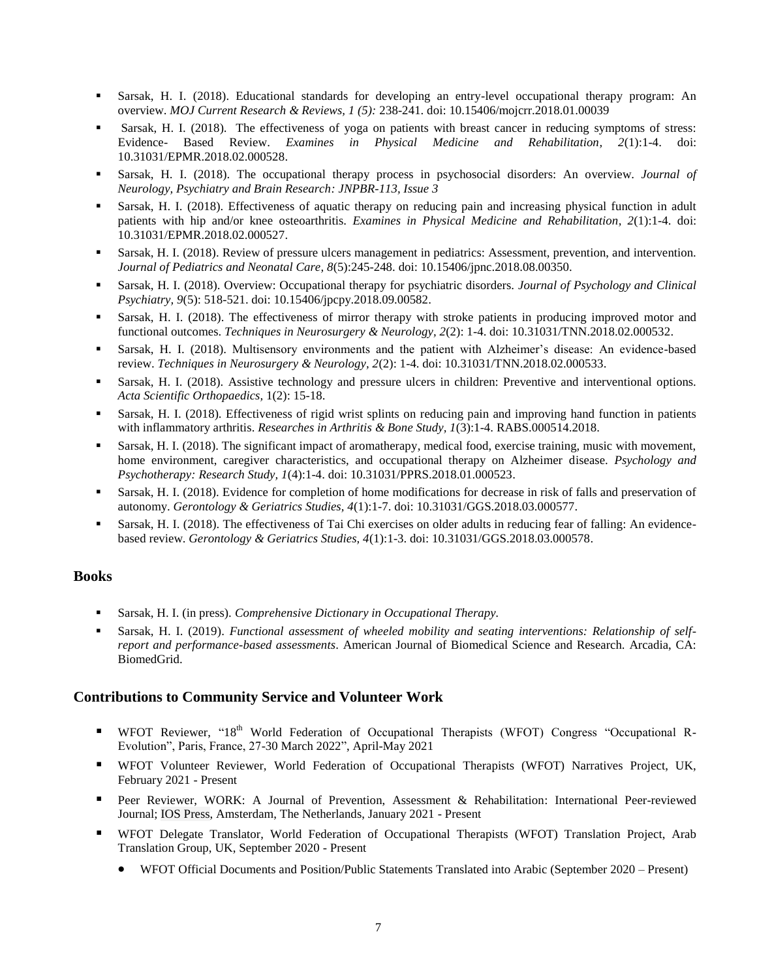- Sarsak, H. I. (2018). Educational standards for developing an entry-level occupational therapy program: An overview. *MOJ Current Research & Reviews, 1 (5):* 238-241. doi: 10.15406/mojcrr.2018.01.00039
- Sarsak, H. I. (2018). The effectiveness of yoga on patients with breast cancer in reducing symptoms of stress: Evidence- Based Review. *Examines in Physical Medicine and Rehabilitation, 2*(1):1-4. doi: 10.31031/EPMR.2018.02.000528.
- Sarsak, H. I. (2018). The occupational therapy process in psychosocial disorders: An overview. *Journal of Neurology, Psychiatry and Brain Research: JNPBR-113, Issue 3*
- Sarsak, H. I. (2018). Effectiveness of aquatic therapy on reducing pain and increasing physical function in adult patients with hip and/or knee osteoarthritis. *Examines in Physical Medicine and Rehabilitation, 2*(1):1-4. doi: 10.31031/EPMR.2018.02.000527.
- Sarsak, H. I. (2018). Review of pressure ulcers management in pediatrics: Assessment, prevention, and intervention. *Journal of Pediatrics and Neonatal Care, 8*(5):245-248. doi: 10.15406/jpnc.2018.08.00350.
- Sarsak, H. I. (2018). Overview: Occupational therapy for psychiatric disorders. *Journal of Psychology and Clinical Psychiatry, 9*(5): 518-521. doi: 10.15406/jpcpy.2018.09.00582.
- Sarsak, H. I. (2018). The effectiveness of mirror therapy with stroke patients in producing improved motor and functional outcomes. *Techniques in Neurosurgery & Neurology, 2*(2): 1-4. doi: 10.31031/TNN.2018.02.000532.
- Sarsak, H. I. (2018). Multisensory environments and the patient with Alzheimer's disease: An evidence-based review. *Techniques in Neurosurgery & Neurology, 2*(2): 1-4. doi: 10.31031/TNN.2018.02.000533.
- Sarsak, H. I. (2018). Assistive technology and pressure ulcers in children: Preventive and interventional options. *Acta Scientific Orthopaedics,* 1(2): 15-18.
- Sarsak, H. I. (2018). Effectiveness of rigid wrist splints on reducing pain and improving hand function in patients with inflammatory arthritis. *Researches in Arthritis & Bone Study, 1*(3):1-4. RABS.000514.2018.
- Sarsak, H. I. (2018). The significant impact of aromatherapy, medical food, exercise training, music with movement, home environment, caregiver characteristics, and occupational therapy on Alzheimer disease. *Psychology and Psychotherapy: Research Study, 1*(4):1-4. doi: 10.31031/PPRS.2018.01.000523.
- Sarsak, H. I. (2018). Evidence for completion of home modifications for decrease in risk of falls and preservation of autonomy. *Gerontology & Geriatrics Studies, 4*(1):1-7. doi: 10.31031/GGS.2018.03.000577.
- Sarsak, H. I. (2018). The effectiveness of Tai Chi exercises on older adults in reducing fear of falling: An evidencebased review. *Gerontology & Geriatrics Studies, 4*(1):1-3. doi: 10.31031/GGS.2018.03.000578.

#### **Books**

- Sarsak, H. I. (in press). *Comprehensive Dictionary in Occupational Therapy.*
- Sarsak, H. I. (2019). *Functional assessment of wheeled mobility and seating interventions: Relationship of selfreport and performance-based assessments*. American Journal of Biomedical Science and Research. Arcadia, CA: BiomedGrid.

# **Contributions to Community Service and Volunteer Work**

- **WFOT Reviewer, "18<sup>th</sup> World Federation of Occupational Therapists (WFOT) Congress "Occupational R-**Evolution", Paris, France, 27-30 March 2022", April-May 2021
- WFOT Volunteer Reviewer, World Federation of Occupational Therapists (WFOT) Narratives Project, UK, February 2021 - Present
- Peer Reviewer, WORK: A Journal of Prevention, Assessment & Rehabilitation: International Peer-reviewed Journal; IOS Press, Amsterdam, The Netherlands, January 2021 - Present
- WFOT Delegate Translator, World Federation of Occupational Therapists (WFOT) Translation Project, Arab Translation Group, UK, September 2020 - Present
	- WFOT Official Documents and Position/Public Statements Translated into Arabic (September 2020 Present)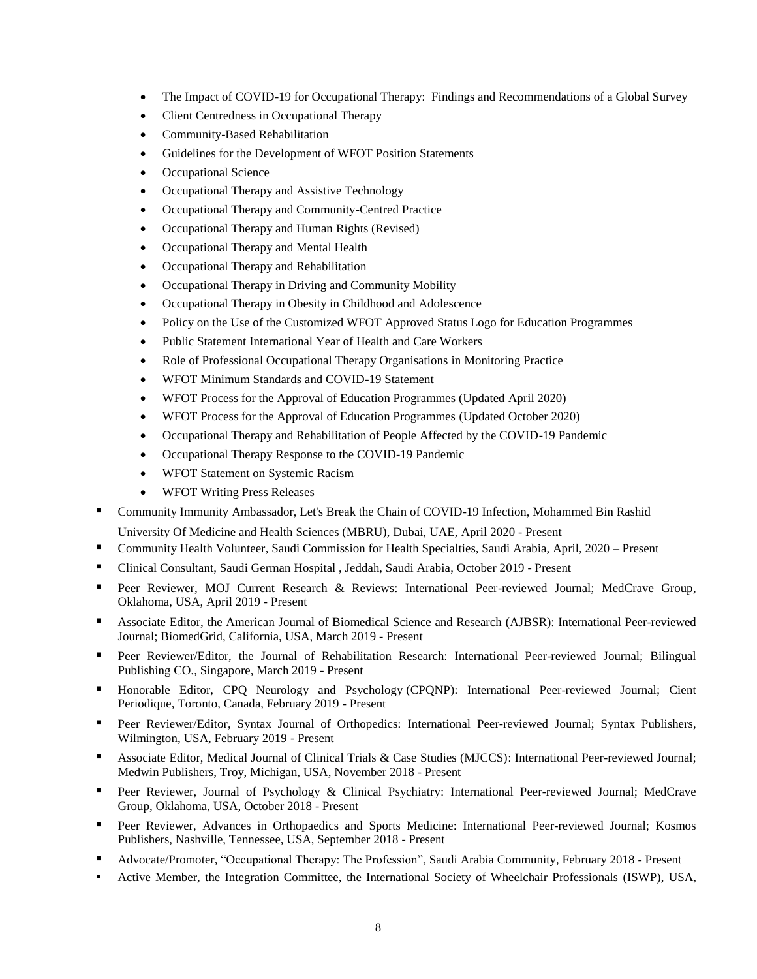- The Impact of COVID-19 for Occupational Therapy: Findings and Recommendations of a Global Survey
- Client Centredness in Occupational Therapy
- Community-Based Rehabilitation
- Guidelines for the Development of WFOT Position Statements
- Occupational Science
- Occupational Therapy and Assistive Technology
- Occupational Therapy and Community-Centred Practice
- Occupational Therapy and Human Rights (Revised)
- Occupational Therapy and Mental Health
- Occupational Therapy and Rehabilitation
- Occupational Therapy in Driving and Community Mobility
- Occupational Therapy in Obesity in Childhood and Adolescence
- Policy on the Use of the Customized WFOT Approved Status Logo for Education Programmes
- Public Statement International Year of Health and Care Workers
- Role of Professional Occupational Therapy Organisations in Monitoring Practice
- WFOT Minimum Standards and COVID-19 Statement
- WFOT Process for the Approval of Education Programmes (Updated April 2020)
- WFOT Process for the Approval of Education Programmes (Updated October 2020)
- Occupational Therapy and Rehabilitation of People Affected by the COVID-19 Pandemic
- Occupational Therapy Response to the COVID-19 Pandemic
- WFOT Statement on Systemic Racism
- WFOT Writing Press Releases
- Community Immunity Ambassador, Let's Break the Chain of COVID-19 Infection, Mohammed Bin Rashid
	- University Of Medicine and Health Sciences (MBRU), Dubai, UAE, April 2020 Present
- Community Health Volunteer, Saudi Commission for Health Specialties, Saudi Arabia, April, 2020 Present
- Clinical Consultant, Saudi German Hospital , Jeddah, Saudi Arabia, October 2019 Present
- **Peer Reviewer, MOJ Current Research & Reviews: International Peer-reviewed Journal; MedCrave Group,** Oklahoma, USA, April 2019 - Present
- Associate Editor, the American Journal of Biomedical Science and Research (AJBSR): International Peer-reviewed Journal; BiomedGrid, California, USA, March 2019 - Present
- Peer Reviewer/Editor, the Journal of Rehabilitation Research: International Peer-reviewed Journal; Bilingual Publishing CO., Singapore, March 2019 - Present
- Honorable Editor, CPQ Neurology and Psychology (CPQNP): International Peer-reviewed Journal; Cient Periodique, Toronto, Canada, February 2019 - Present
- Peer Reviewer/Editor, Syntax Journal of Orthopedics: International Peer-reviewed Journal; Syntax Publishers, Wilmington, USA, February 2019 - Present
- Associate Editor, Medical Journal of Clinical Trials & Case Studies (MJCCS): International Peer-reviewed Journal; Medwin Publishers, Troy, Michigan, USA, November 2018 - Present
- **Peer Reviewer, Journal of Psychology & Clinical Psychiatry: International Peer-reviewed Journal; MedCrave** Group, Oklahoma, USA, October 2018 - Present
- **Peer Reviewer, Advances in Orthopaedics and Sports Medicine: International Peer-reviewed Journal; Kosmos** Publishers, Nashville, Tennessee, USA, September 2018 - Present
- Advocate/Promoter, "Occupational Therapy: The Profession", Saudi Arabia Community, February 2018 Present
- Active Member, the Integration Committee, the International Society of Wheelchair Professionals (ISWP), USA,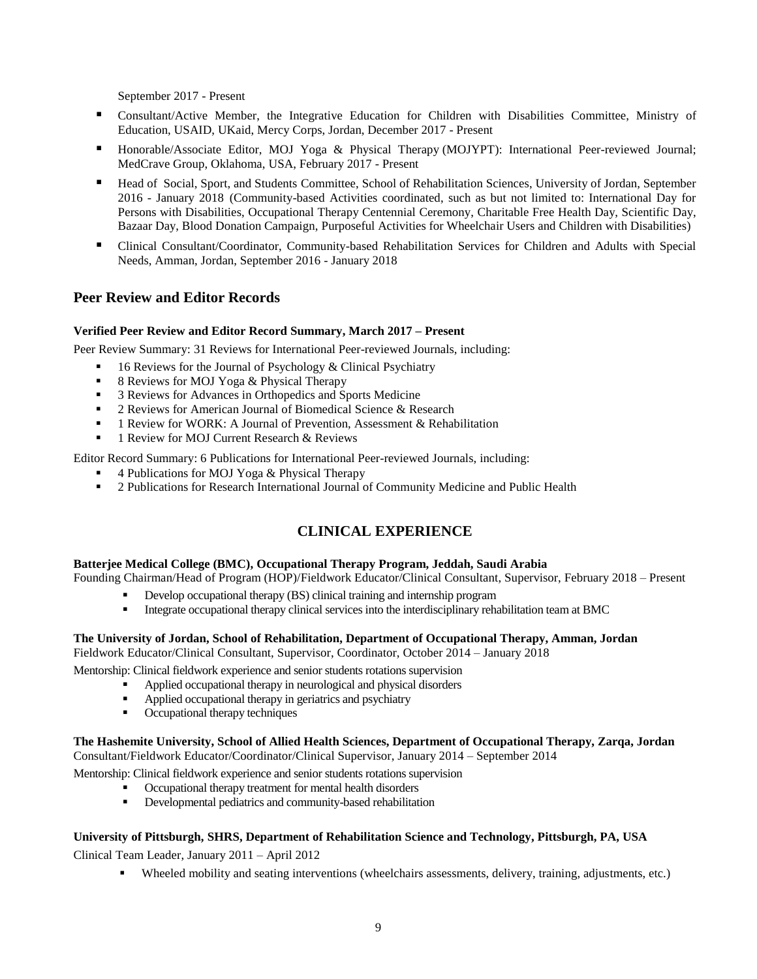September 2017 - Present

- Consultant/Active Member, the Integrative Education for Children with Disabilities Committee, Ministry of Education, USAID, UKaid, Mercy Corps, Jordan, December 2017 - Present
- Honorable/Associate Editor, MOJ Yoga & Physical Therapy (MOJYPT): International Peer-reviewed Journal; MedCrave Group, Oklahoma, USA, February 2017 - Present
- Head of Social, Sport, and Students Committee, School of Rehabilitation Sciences, University of Jordan, September 2016 - January 2018 (Community-based Activities coordinated, such as but not limited to: International Day for Persons with Disabilities, Occupational Therapy Centennial Ceremony, Charitable Free Health Day, Scientific Day, Bazaar Day, Blood Donation Campaign, Purposeful Activities for Wheelchair Users and Children with Disabilities)
- Clinical Consultant/Coordinator, Community-based Rehabilitation Services for Children and Adults with Special Needs, Amman, Jordan, September 2016 - January 2018

# **Peer Review and Editor Records**

#### **Verified Peer Review and Editor Record Summary, March 2017 – Present**

Peer Review Summary: 31 Reviews for International Peer-reviewed Journals, including:

- 16 Reviews for the Journal of Psychology & Clinical Psychiatry
- 8 Reviews for MOJ Yoga & Physical Therapy
- 3 Reviews for Advances in Orthopedics and Sports Medicine
- <sup>2</sup> 2 Reviews for American Journal of Biomedical Science & Research
- 1 Review for WORK: A Journal of Prevention, Assessment & Rehabilitation
- 1 Review for MOJ Current Research & Reviews

Editor Record Summary: 6 Publications for International Peer-reviewed Journals, including:

- 4 Publications for MOJ Yoga & Physical Therapy
- 2 Publications for Research International Journal of Community Medicine and Public Health

# **CLINICAL EXPERIENCE**

#### **Batterjee Medical College (BMC), Occupational Therapy Program, Jeddah, Saudi Arabia**

Founding Chairman/Head of Program (HOP)/Fieldwork Educator/Clinical Consultant, Supervisor, February 2018 – Present

- Develop occupational therapy (BS) clinical training and internship program
- Integrate occupational therapy clinical services into the interdisciplinary rehabilitation team at BMC

#### **The University of Jordan, School of Rehabilitation, Department of Occupational Therapy, Amman, Jordan**

Fieldwork Educator/Clinical Consultant, Supervisor, Coordinator, October 2014 – January 2018

Mentorship: Clinical fieldwork experience and senior students rotations supervision

- Applied occupational therapy in neurological and physical disorders
- Applied occupational therapy in geriatrics and psychiatry
- Occupational therapy techniques

#### **The Hashemite University, School of Allied Health Sciences, Department of Occupational Therapy, Zarqa, Jordan** Consultant/Fieldwork Educator/Coordinator/Clinical Supervisor, January 2014 – September 2014

Mentorship: Clinical fieldwork experience and senior students rotations supervision

- Occupational therapy treatment for mental health disorders
- Developmental pediatrics and community-based rehabilitation

#### **University of Pittsburgh, SHRS, Department of Rehabilitation Science and Technology, Pittsburgh, PA, USA**

Clinical Team Leader, January 2011 – April 2012

Wheeled mobility and seating interventions (wheelchairs assessments, delivery, training, adjustments, etc.)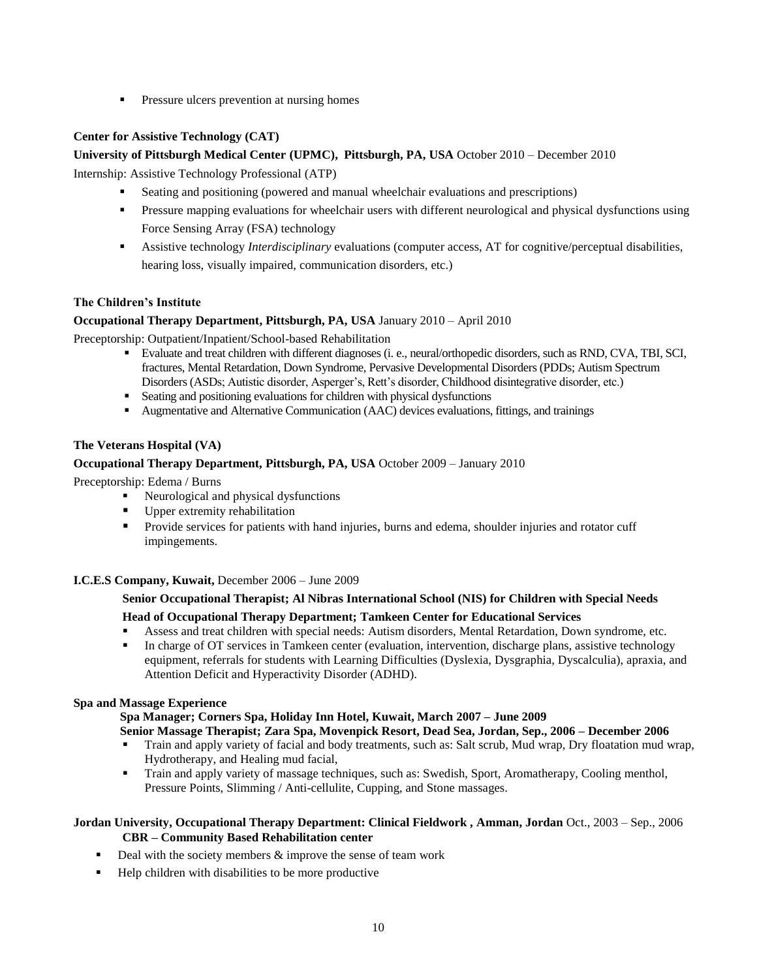**Pressure ulcers prevention at nursing homes** 

# **Center for Assistive Technology (CAT)**

## **University of Pittsburgh Medical Center (UPMC), Pittsburgh, PA, USA** October 2010 – December 2010

Internship: Assistive Technology Professional (ATP)

- Seating and positioning (powered and manual wheelchair evaluations and prescriptions)
- Pressure mapping evaluations for wheelchair users with different neurological and physical dysfunctions using Force Sensing Array (FSA) technology
- Assistive technology *Interdisciplinary* evaluations (computer access, AT for cognitive/perceptual disabilities, hearing loss, visually impaired, communication disorders, etc.)

#### **The Children's Institute**

#### **Occupational Therapy Department, Pittsburgh, PA, USA** January 2010 – April 2010

Preceptorship: Outpatient/Inpatient/School-based Rehabilitation

- Evaluate and treat children with different diagnoses (i. e., neural/orthopedic disorders, such as RND, CVA, TBI, SCI, fractures, Mental Retardation, Down Syndrome, Pervasive Developmental Disorders (PDDs; Autism Spectrum Disorders (ASDs; Autistic disorder, Asperger's, Rett's disorder, Childhood disintegrative disorder, etc.)
- Seating and positioning evaluations for children with physical dysfunctions
- Augmentative and Alternative Communication (AAC) devices evaluations, fittings, and trainings

#### **The Veterans Hospital (VA)**

#### **Occupational Therapy Department, Pittsburgh, PA, USA** October 2009 – January 2010

Preceptorship: Edema / Burns

- Neurological and physical dysfunctions
- Upper extremity rehabilitation
- **Provide services for patients with hand injuries, burns and edema, shoulder injuries and rotator cuff** impingements.

#### **I.C.E.S Company, Kuwait,** December 2006 – June 2009

#### **Senior Occupational Therapist; Al Nibras International School (NIS) for Children with Special Needs**

#### **Head of Occupational Therapy Department; Tamkeen Center for Educational Services**

- Assess and treat children with special needs: Autism disorders, Mental Retardation, Down syndrome, etc.
- In charge of OT services in Tamkeen center (evaluation, intervention, discharge plans, assistive technology equipment, referrals for students with Learning Difficulties (Dyslexia, Dysgraphia, Dyscalculia), apraxia, and Attention Deficit and Hyperactivity Disorder (ADHD).

#### **Spa and Massage Experience**

#### **Spa Manager; Corners Spa, Holiday Inn Hotel, Kuwait, March 2007 – June 2009**

#### **Senior Massage Therapist; Zara Spa, Movenpick Resort, Dead Sea, Jordan, Sep., 2006 – December 2006**

- Train and apply variety of facial and body treatments, such as: Salt scrub, Mud wrap, Dry floatation mud wrap, Hydrotherapy, and Healing mud facial,
- Train and apply variety of massage techniques, such as: Swedish, Sport, Aromatherapy, Cooling menthol, Pressure Points, Slimming / Anti-cellulite, Cupping, and Stone massages.

#### **Jordan University, Occupational Therapy Department: Clinical Fieldwork , Amman, Jordan** Oct., 2003 – Sep., 2006 **CBR – Community Based Rehabilitation center**

- $\blacksquare$  Deal with the society members  $\&$  improve the sense of team work
- Help children with disabilities to be more productive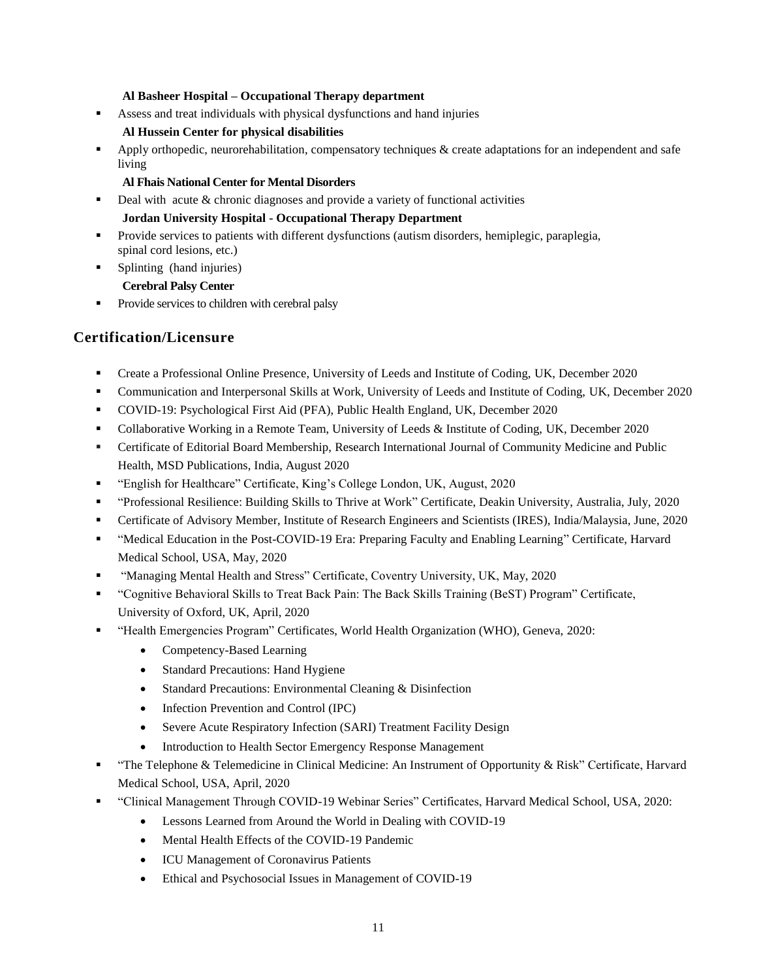#### **Al Basheer Hospital – Occupational Therapy department**

Assess and treat individuals with physical dysfunctions and hand injuries

# **Al Hussein Center for physical disabilities**

Apply orthopedic, neurorehabilitation, compensatory techniques & create adaptations for an independent and safe living

#### **Al Fhais National Center for Mental Disorders**

 $\blacksquare$  Deal with acute & chronic diagnoses and provide a variety of functional activities

# **Jordan University Hospital - Occupational Therapy Department**

- **Provide services to patients with different dysfunctions (autism disorders, hemiplegic, paraplegia,** spinal cord lesions, etc.)
- Splinting (hand injuries)

# **Cerebral Palsy Center**

• Provide services to children with cerebral palsy

# **Certification/Licensure**

- Create a Professional Online Presence, University of Leeds and Institute of Coding, UK, December 2020
- Communication and Interpersonal Skills at Work, University of Leeds and Institute of Coding, UK, December 2020
- COVID-19: Psychological First Aid (PFA), Public Health England, UK, December 2020
- Collaborative Working in a Remote Team, University of Leeds & Institute of Coding, UK, December 2020
- Certificate of Editorial Board Membership, Research International Journal of Community Medicine and Public Health, MSD Publications, India, August 2020
- "English for Healthcare" Certificate, King's College London, UK, August, 2020
- "Professional Resilience: Building Skills to Thrive at Work" Certificate, Deakin University, Australia, July, 2020
- Certificate of Advisory Member, Institute of Research Engineers and Scientists (IRES), India/Malaysia, June, 2020
- "Medical Education in the Post-COVID-19 Era: Preparing Faculty and Enabling Learning" Certificate, Harvard Medical School, USA, May, 2020
- "Managing Mental Health and Stress" Certificate, Coventry University, UK, May, 2020
- "Cognitive Behavioral Skills to Treat Back Pain: The Back Skills Training (BeST) Program" Certificate, University of Oxford, UK, April, 2020
- "Health Emergencies Program" Certificates, World Health Organization (WHO), Geneva, 2020:
	- Competency-Based Learning
	- Standard Precautions: Hand Hygiene
	- Standard Precautions: Environmental Cleaning & Disinfection
	- Infection Prevention and Control (IPC)
	- Severe Acute Respiratory Infection (SARI) Treatment Facility Design
	- Introduction to Health Sector Emergency Response Management
- "The Telephone & Telemedicine in Clinical Medicine: An Instrument of Opportunity & Risk" Certificate, Harvard Medical School, USA, April, 2020
- "Clinical Management Through COVID-19 Webinar Series" Certificates, Harvard Medical School, USA, 2020:
	- Lessons Learned from Around the World in Dealing with COVID-19
	- Mental Health Effects of the COVID-19 Pandemic
	- ICU Management of Coronavirus Patients
	- Ethical and Psychosocial Issues in Management of COVID-19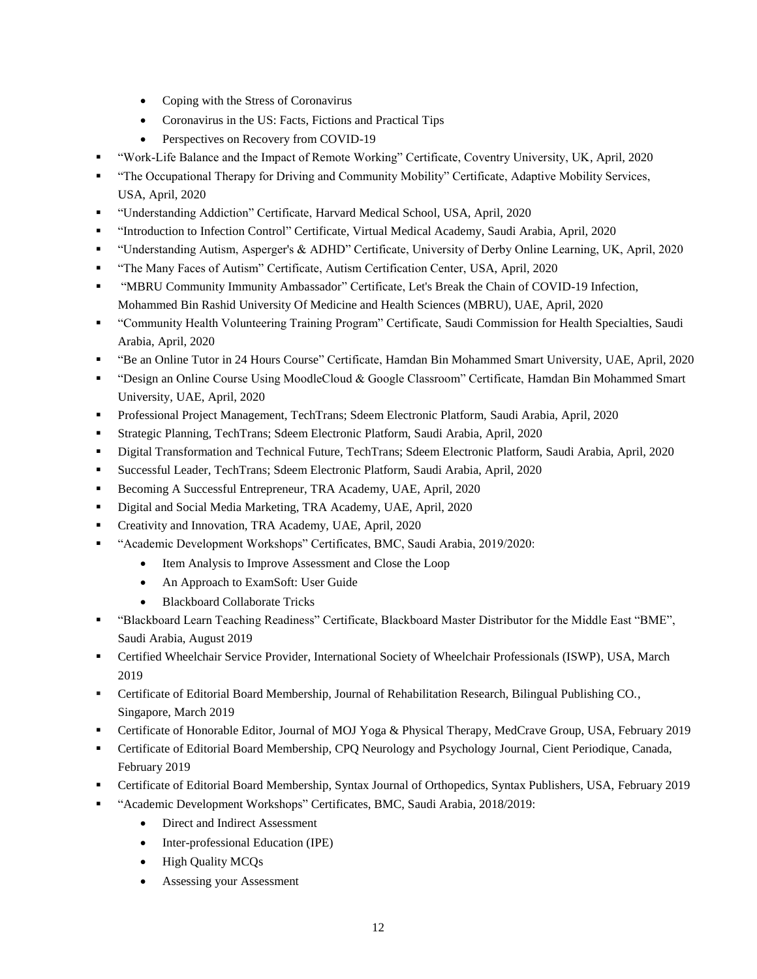- Coping with the Stress of Coronavirus
- Coronavirus in the US: Facts, Fictions and Practical Tips
- Perspectives on Recovery from COVID-19
- "Work-Life Balance and the Impact of Remote Working" Certificate, Coventry University, UK, April, 2020
- "The Occupational Therapy for Driving and Community Mobility" Certificate, Adaptive Mobility Services, USA, April, 2020
- "Understanding Addiction" Certificate, Harvard Medical School, USA, April, 2020
- "Introduction to Infection Control" Certificate, Virtual Medical Academy, Saudi Arabia, April, 2020
- "Understanding Autism, Asperger's & ADHD" Certificate, University of Derby Online Learning, UK, April, 2020
- "The Many Faces of Autism" Certificate, Autism Certification Center, USA, April, 2020
- "MBRU Community Immunity Ambassador" Certificate, Let's Break the Chain of COVID-19 Infection, Mohammed Bin Rashid University Of Medicine and Health Sciences (MBRU), UAE, April, 2020
- "Community Health Volunteering Training Program" Certificate, Saudi Commission for Health Specialties, Saudi Arabia, April, 2020
- "Be an Online Tutor in 24 Hours Course" Certificate, Hamdan Bin Mohammed Smart University, UAE, April, 2020
- "Design an Online Course Using MoodleCloud & Google Classroom" Certificate, Hamdan Bin Mohammed Smart University, UAE, April, 2020
- Professional Project Management, TechTrans; Sdeem Electronic Platform, Saudi Arabia, April, 2020
- Strategic Planning, TechTrans; Sdeem Electronic Platform, Saudi Arabia, April, 2020
- Digital Transformation and Technical Future, TechTrans; Sdeem Electronic Platform, Saudi Arabia, April, 2020
- Successful Leader, TechTrans; Sdeem Electronic Platform, Saudi Arabia, April, 2020
- Becoming A Successful Entrepreneur, TRA Academy, UAE, April, 2020
- Digital and Social Media Marketing, TRA Academy, UAE, April, 2020
- Creativity and Innovation, TRA Academy, UAE, April, 2020
- "Academic Development Workshops" Certificates, BMC, Saudi Arabia, 2019/2020:
	- Item Analysis to Improve Assessment and Close the Loop
	- An Approach to ExamSoft: User Guide
	- Blackboard Collaborate Tricks
- "Blackboard Learn Teaching Readiness" Certificate, Blackboard Master Distributor for the Middle East "BME", Saudi Arabia, August 2019
- Certified Wheelchair Service Provider, International Society of Wheelchair Professionals (ISWP), USA, March 2019
- Certificate of Editorial Board Membership, Journal of Rehabilitation Research, Bilingual Publishing CO., Singapore, March 2019
- Certificate of Honorable Editor, Journal of MOJ Yoga & Physical Therapy, MedCrave Group, USA, February 2019
- Certificate of Editorial Board Membership, CPQ Neurology and Psychology Journal, Cient Periodique, Canada, February 2019
- Certificate of Editorial Board Membership, Syntax Journal of Orthopedics, Syntax Publishers, USA, February 2019
- "Academic Development Workshops" Certificates, BMC, Saudi Arabia, 2018/2019:
	- Direct and Indirect Assessment
	- Inter-professional Education (IPE)
	- High Quality MCQs
	- Assessing your Assessment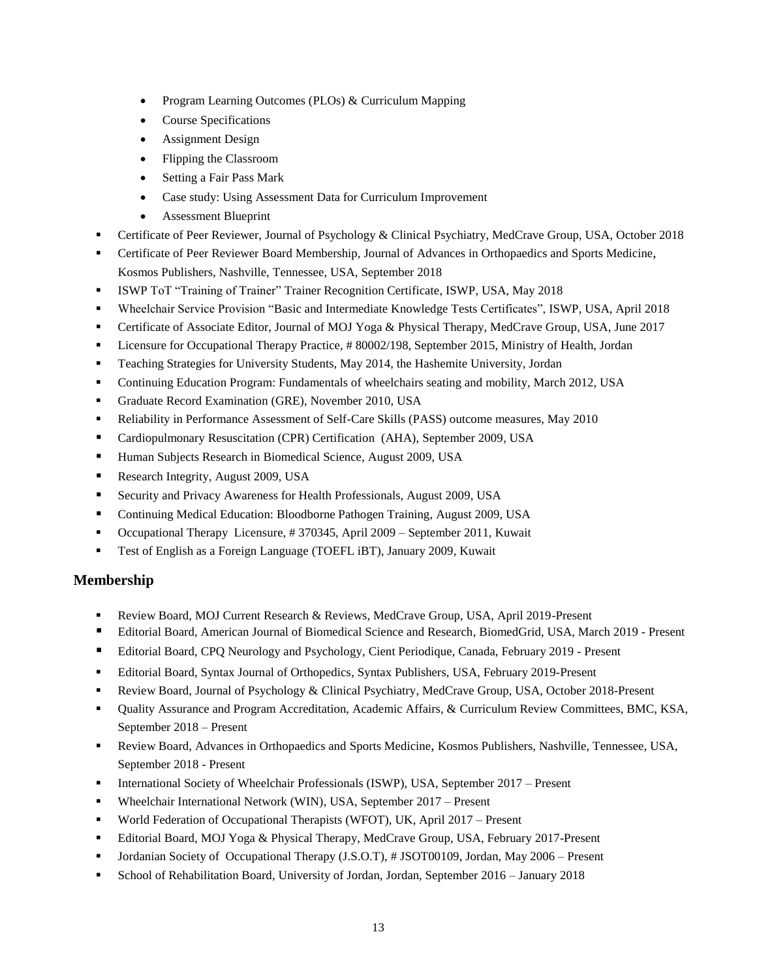- Program Learning Outcomes (PLOs) & Curriculum Mapping
- Course Specifications
- Assignment Design
- Flipping the Classroom
- Setting a Fair Pass Mark
- Case study: Using Assessment Data for Curriculum Improvement
- Assessment Blueprint
- Certificate of Peer Reviewer, Journal of Psychology & Clinical Psychiatry, MedCrave Group, USA, October 2018
- Certificate of Peer Reviewer Board Membership, Journal of Advances in Orthopaedics and Sports Medicine, Kosmos Publishers, Nashville, Tennessee, USA, September 2018
- ISWP ToT "Training of Trainer" Trainer Recognition Certificate, ISWP, USA, May 2018
- Wheelchair Service Provision "Basic and Intermediate Knowledge Tests Certificates", ISWP, USA, April 2018
- Certificate of Associate Editor, Journal of MOJ Yoga & Physical Therapy, MedCrave Group, USA, June 2017
- Licensure for Occupational Therapy Practice, # 80002/198, September 2015, Ministry of Health, Jordan
- Teaching Strategies for University Students, May 2014, the Hashemite University, Jordan
- Continuing Education Program: Fundamentals of wheelchairs seating and mobility, March 2012, USA
- Graduate Record Examination (GRE), November 2010, USA
- **Reliability in Performance Assessment of Self-Care Skills (PASS) outcome measures, May 2010**
- Cardiopulmonary Resuscitation (CPR) Certification (AHA), September 2009, USA
- **Human Subjects Research in Biomedical Science, August 2009, USA**
- Research Integrity, August 2009, USA
- Security and Privacy Awareness for Health Professionals, August 2009, USA
- Continuing Medical Education: Bloodborne Pathogen Training, August 2009, USA
- Occupational Therapy Licensure, # 370345, April 2009 September 2011, Kuwait
- Test of English as a Foreign Language (TOEFL iBT), January 2009, Kuwait

# **Membership**

- Review Board, MOJ Current Research & Reviews, MedCrave Group, USA, April 2019-Present
- Editorial Board, American Journal of Biomedical Science and Research, BiomedGrid, USA, March 2019 Present
- Editorial Board, CPQ Neurology and Psychology, Cient Periodique, Canada, February 2019 Present
- Editorial Board, Syntax Journal of Orthopedics, Syntax Publishers, USA, February 2019-Present
- Review Board, Journal of Psychology & Clinical Psychiatry, MedCrave Group, USA, October 2018-Present
- Quality Assurance and Program Accreditation, Academic Affairs, & Curriculum Review Committees, BMC, KSA, September 2018 – Present
- Review Board, Advances in Orthopaedics and Sports Medicine, Kosmos Publishers, Nashville, Tennessee, USA, September 2018 - Present
- **International Society of Wheelchair Professionals (ISWP), USA, September 2017 Present**
- Wheelchair International Network (WIN), USA, September 2017 Present
- World Federation of Occupational Therapists (WFOT), UK, April 2017 Present
- Editorial Board, MOJ Yoga & Physical Therapy, MedCrave Group, USA, February 2017-Present
- Jordanian Society of Occupational Therapy (J.S.O.T), # JSOT00109, Jordan, May 2006 Present
- School of Rehabilitation Board, University of Jordan, Jordan, September 2016 January 2018